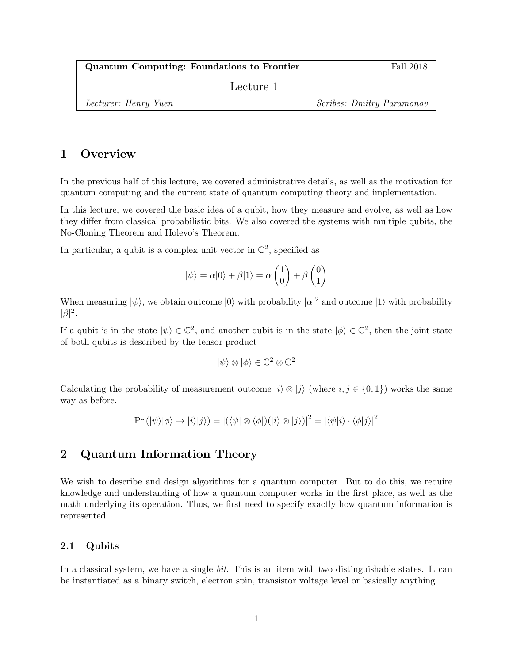Quantum Computing: Foundations to Frontier Fall 2018

Lecture 1

Lecturer: Henry Yuen Scribes: Dmitry Paramonov

# 1 Overview

In the previous half of this lecture, we covered administrative details, as well as the motivation for quantum computing and the current state of quantum computing theory and implementation.

In this lecture, we covered the basic idea of a qubit, how they measure and evolve, as well as how they differ from classical probabilistic bits. We also covered the systems with multiple qubits, the No-Cloning Theorem and Holevo's Theorem.

In particular, a qubit is a complex unit vector in  $\mathbb{C}^2$ , specified as

$$
|\psi\rangle = \alpha|0\rangle + \beta|1\rangle = \alpha \begin{pmatrix} 1 \\ 0 \end{pmatrix} + \beta \begin{pmatrix} 0 \\ 1 \end{pmatrix}
$$

When measuring  $|\psi\rangle$ , we obtain outcome  $|0\rangle$  with probability  $|\alpha|^2$  and outcome  $|1\rangle$  with probability  $|\beta|^2$ .

If a qubit is in the state  $|\psi\rangle \in \mathbb{C}^2$ , and another qubit is in the state  $|\phi\rangle \in \mathbb{C}^2$ , then the joint state of both qubits is described by the tensor product

$$
|\psi\rangle \otimes |\phi\rangle \in \mathbb{C}^2 \otimes \mathbb{C}^2
$$

Calculating the probability of measurement outcome  $|i\rangle \otimes |j\rangle$  (where  $i, j \in \{0, 1\}$ ) works the same way as before.

$$
Pr(|\psi\rangle|\phi\rangle \rightarrow |i\rangle|j\rangle) = |(\langle \psi| \otimes \langle \phi|)(|i\rangle \otimes |j\rangle)|^2 = |\langle \psi|i\rangle \cdot \langle \phi|j\rangle|^2
$$

# 2 Quantum Information Theory

We wish to describe and design algorithms for a quantum computer. But to do this, we require knowledge and understanding of how a quantum computer works in the first place, as well as the math underlying its operation. Thus, we first need to specify exactly how quantum information is represented.

# 2.1 Qubits

In a classical system, we have a single bit. This is an item with two distinguishable states. It can be instantiated as a binary switch, electron spin, transistor voltage level or basically anything.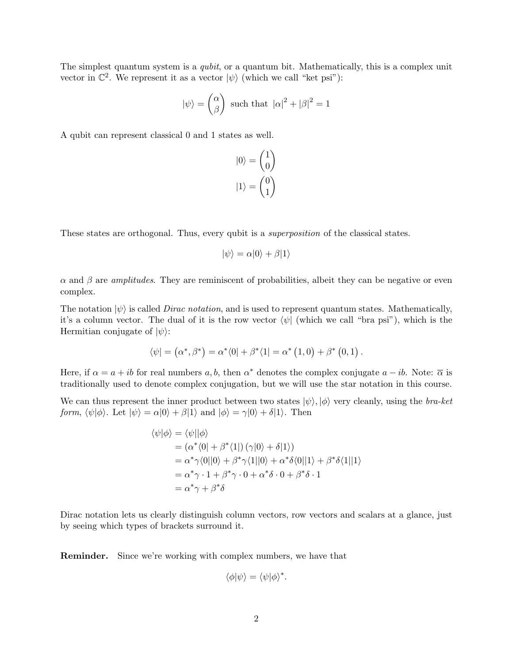The simplest quantum system is a *qubit*, or a quantum bit. Mathematically, this is a complex unit vector in  $\mathbb{C}^2$ . We represent it as a vector  $|\psi\rangle$  (which we call "ket psi"):

$$
|\psi\rangle = \begin{pmatrix} \alpha \\ \beta \end{pmatrix}
$$
 such that  $|\alpha|^2 + |\beta|^2 = 1$ 

A qubit can represent classical 0 and 1 states as well.

$$
|0\rangle = \begin{pmatrix} 1 \\ 0 \end{pmatrix}
$$

$$
|1\rangle = \begin{pmatrix} 0 \\ 1 \end{pmatrix}
$$

These states are orthogonal. Thus, every qubit is a *superposition* of the classical states.

$$
|\psi\rangle = \alpha|0\rangle + \beta|1\rangle
$$

 $\alpha$  and  $\beta$  are *amplitudes*. They are reminiscent of probabilities, albeit they can be negative or even complex.

The notation  $|\psi\rangle$  is called *Dirac notation*, and is used to represent quantum states. Mathematically, it's a column vector. The dual of it is the row vector  $\langle \psi |$  (which we call "bra psi"), which is the Hermitian conjugate of  $|\psi\rangle$ :

$$
\langle \psi | = (\alpha^*, \beta^*) = \alpha^* \langle 0 | + \beta^* \langle 1 | = \alpha^* (1, 0) + \beta^* (0, 1) .
$$

Here, if  $\alpha = a + ib$  for real numbers a, b, then  $\alpha^*$  denotes the complex conjugate  $a - ib$ . Note:  $\overline{\alpha}$  is traditionally used to denote complex conjugation, but we will use the star notation in this course.

We can thus represent the inner product between two states  $|\psi\rangle, |\phi\rangle$  very cleanly, using the bra-ket form,  $\langle \psi | \phi \rangle$ . Let  $|\psi \rangle = \alpha |0\rangle + \beta |1\rangle$  and  $|\phi \rangle = \gamma |0\rangle + \delta |1\rangle$ . Then

$$
\langle \psi | \phi \rangle = \langle \psi | | \phi \rangle
$$
  
=  $(\alpha^* \langle 0 | + \beta^* \langle 1 |) (\gamma | 0 \rangle + \delta | 1 \rangle)$   
=  $\alpha^* \gamma \langle 0 | | 0 \rangle + \beta^* \gamma \langle 1 | | 0 \rangle + \alpha^* \delta \langle 0 | | 1 \rangle + \beta^* \delta \langle 1 | | 1 \rangle$   
=  $\alpha^* \gamma \cdot 1 + \beta^* \gamma \cdot 0 + \alpha^* \delta \cdot 0 + \beta^* \delta \cdot 1$   
=  $\alpha^* \gamma + \beta^* \delta$ 

Dirac notation lets us clearly distinguish column vectors, row vectors and scalars at a glance, just by seeing which types of brackets surround it.

Reminder. Since we're working with complex numbers, we have that

$$
\langle \phi | \psi \rangle = \langle \psi | \phi \rangle^*.
$$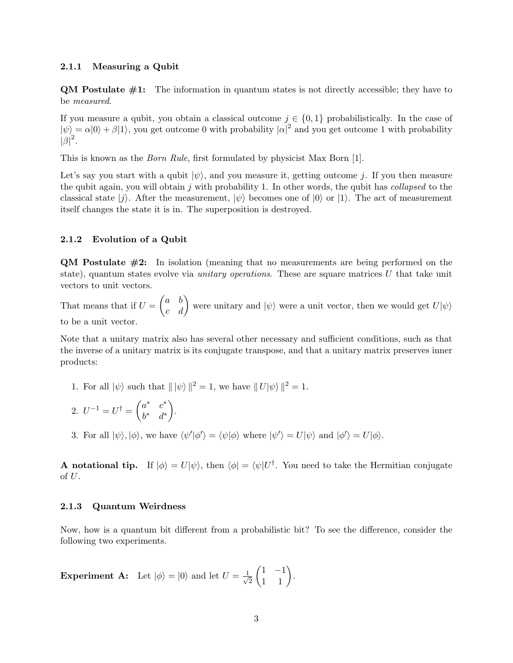#### 2.1.1 Measuring a Qubit

**QM Postulate**  $\#1$ **:** The information in quantum states is not directly accessible; they have to be measured.

If you measure a qubit, you obtain a classical outcome  $j \in \{0,1\}$  probabilistically. In the case of  $|\psi\rangle = \alpha|0\rangle + \beta|1\rangle$ , you get outcome 0 with probability  $|\alpha|^2$  and you get outcome 1 with probability  $|\beta|^2.$ 

This is known as the Born Rule, first formulated by physicist Max Born [1].

Let's say you start with a qubit  $|\psi\rangle$ , and you measure it, getting outcome j. If you then measure the qubit again, you will obtain j with probability 1. In other words, the qubit has collapsed to the classical state  $|j\rangle$ . After the measurement,  $|\psi\rangle$  becomes one of  $|0\rangle$  or  $|1\rangle$ . The act of measurement itself changes the state it is in. The superposition is destroyed.

## 2.1.2 Evolution of a Qubit

QM Postulate #2: In isolation (meaning that no measurements are being performed on the state), quantum states evolve via *unitary operations*. These are square matrices  $U$  that take unit vectors to unit vectors.

That means that if  $U = \begin{pmatrix} a & b \\ c & d \end{pmatrix}$  were unitary and  $|\psi\rangle$  were a unit vector, then we would get  $U|\psi\rangle$ to be a unit vector.

Note that a unitary matrix also has several other necessary and sufficient conditions, such as that the inverse of a unitary matrix is its conjugate transpose, and that a unitary matrix preserves inner products:

- 1. For all  $|\psi\rangle$  such that  $||\psi\rangle||^2 = 1$ , we have  $||U|\psi\rangle||^2 = 1$ .
- 2.  $U^{-1} = U^{\dagger} = \begin{pmatrix} a^* & c^* \\ a^* & a^* \end{pmatrix}$  $b^*$  d<sup>\*</sup> .
- 3. For all  $|\psi\rangle, |\phi\rangle$ , we have  $\langle \psi'|\phi'\rangle = \langle \psi|\phi\rangle$  where  $|\psi'\rangle = U|\psi\rangle$  and  $|\phi'\rangle = U|\phi\rangle$ .

**A** notational tip. If  $|\phi\rangle = U|\psi\rangle$ , then  $\langle \phi | = \langle \psi | U^{\dagger}$ . You need to take the Hermitian conjugate of  $U$ .

## 2.1.3 Quantum Weirdness

Now, how is a quantum bit different from a probabilistic bit? To see the difference, consider the following two experiments.

**Experiment A:** Let 
$$
|\phi\rangle = |0\rangle
$$
 and let  $U = \frac{1}{\sqrt{2}} \begin{pmatrix} 1 & -1 \\ 1 & 1 \end{pmatrix}$ .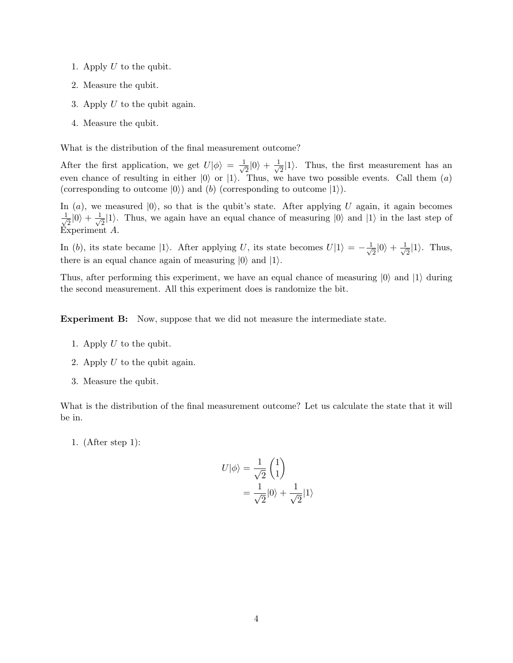- 1. Apply  $U$  to the qubit.
- 2. Measure the qubit.
- 3. Apply  $U$  to the qubit again.
- 4. Measure the qubit.

What is the distribution of the final measurement outcome?

After the first application, we get  $U|\phi\rangle = \frac{1}{\sqrt{2}}$  $\frac{1}{2}|0\rangle + \frac{1}{\sqrt{2}}$  $\frac{1}{2}|1\rangle$ . Thus, the first measurement has an even chance of resulting in either  $|0\rangle$  or  $|1\rangle$ . Thus, we have two possible events. Call them  $(a)$ (corresponding to outcome  $|0\rangle$ ) and (b) (corresponding to outcome  $|1\rangle$ ).

In (a), we measured  $|0\rangle$ , so that is the qubit's state. After applying U again, it again becomes  $\frac{1}{\sqrt{2}}$  $\frac{1}{2}|0\rangle + \frac{1}{\sqrt{2}}$  $\frac{1}{2}$  |1). Thus, we again have an equal chance of measuring  $|0\rangle$  and  $|1\rangle$  in the last step of Experiment A.

In (b), its state became |1). After applying U, its state becomes  $U|1\rangle = -\frac{1}{4}$  $\frac{1}{2}|0\rangle + \frac{1}{\sqrt{2}}$  $\frac{1}{2}|1\rangle$ . Thus, there is an equal chance again of measuring  $|0\rangle$  and  $|1\rangle$ .

Thus, after performing this experiment, we have an equal chance of measuring  $|0\rangle$  and  $|1\rangle$  during the second measurement. All this experiment does is randomize the bit.

Experiment B: Now, suppose that we did not measure the intermediate state.

- 1. Apply  $U$  to the qubit.
- 2. Apply  $U$  to the qubit again.
- 3. Measure the qubit.

What is the distribution of the final measurement outcome? Let us calculate the state that it will be in.

1. (After step 1):

$$
U|\phi\rangle = \frac{1}{\sqrt{2}} \begin{pmatrix} 1 \\ 1 \end{pmatrix}
$$
  
= 
$$
\frac{1}{\sqrt{2}}|0\rangle + \frac{1}{\sqrt{2}}|1\rangle
$$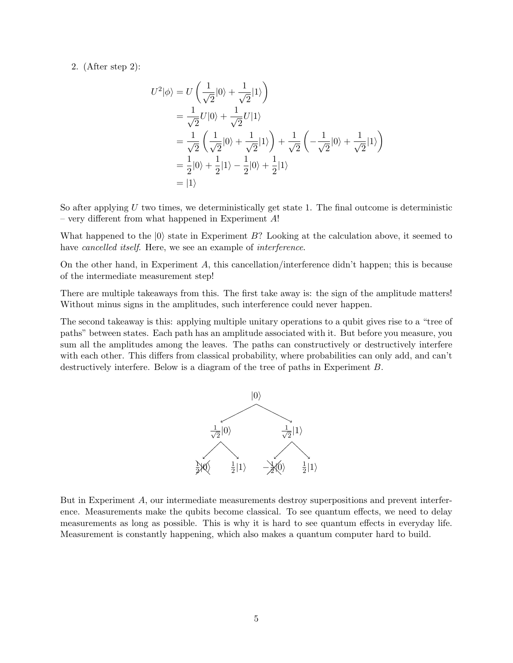# 2. (After step 2):

$$
U^2|\phi\rangle = U\left(\frac{1}{\sqrt{2}}|0\rangle + \frac{1}{\sqrt{2}}|1\rangle\right)
$$
  
=  $\frac{1}{\sqrt{2}}U|0\rangle + \frac{1}{\sqrt{2}}U|1\rangle$   
=  $\frac{1}{\sqrt{2}}\left(\frac{1}{\sqrt{2}}|0\rangle + \frac{1}{\sqrt{2}}|1\rangle\right) + \frac{1}{\sqrt{2}}\left(-\frac{1}{\sqrt{2}}|0\rangle + \frac{1}{\sqrt{2}}|1\rangle\right)$   
=  $\frac{1}{2}|0\rangle + \frac{1}{2}|1\rangle - \frac{1}{2}|0\rangle + \frac{1}{2}|1\rangle$   
=  $|1\rangle$ 

So after applying  $U$  two times, we deterministically get state 1. The final outcome is deterministic – very different from what happened in Experiment  $A!$ 

What happened to the  $|0\rangle$  state in Experiment B? Looking at the calculation above, it seemed to have *cancelled itself*. Here, we see an example of *interference*.

On the other hand, in Experiment A, this cancellation/interference didn't happen; this is because of the intermediate measurement step!

There are multiple takeaways from this. The first take away is: the sign of the amplitude matters! Without minus signs in the amplitudes, such interference could never happen.

The second takeaway is this: applying multiple unitary operations to a qubit gives rise to a "tree of paths" between states. Each path has an amplitude associated with it. But before you measure, you sum all the amplitudes among the leaves. The paths can constructively or destructively interfere with each other. This differs from classical probability, where probabilities can only add, and can't destructively interfere. Below is a diagram of the tree of paths in Experiment B.



But in Experiment A, our intermediate measurements destroy superpositions and prevent interference. Measurements make the qubits become classical. To see quantum effects, we need to delay measurements as long as possible. This is why it is hard to see quantum effects in everyday life. Measurement is constantly happening, which also makes a quantum computer hard to build.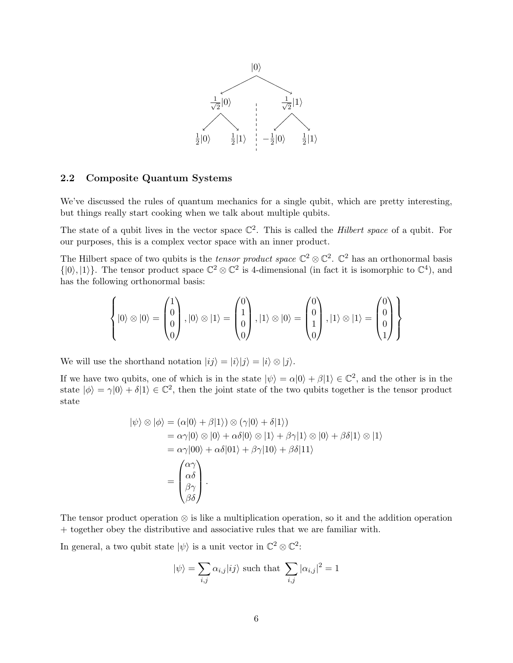

### 2.2 Composite Quantum Systems

We've discussed the rules of quantum mechanics for a single qubit, which are pretty interesting, but things really start cooking when we talk about multiple qubits.

The state of a qubit lives in the vector space  $\mathbb{C}^2$ . This is called the *Hilbert space* of a qubit. For our purposes, this is a complex vector space with an inner product.

The Hilbert space of two qubits is the *tensor product space*  $\mathbb{C}^2 \otimes \mathbb{C}^2$ .  $\mathbb{C}^2$  has an orthonormal basis  $\{|0\rangle, |1\rangle\}$ . The tensor product space  $\mathbb{C}^2 \otimes \mathbb{C}^2$  is 4-dimensional (in fact it is isomorphic to  $\mathbb{C}^4$ ), and has the following orthonormal basis:

$$
\left\{ |0\rangle \otimes |0\rangle = \begin{pmatrix} 1 \\ 0 \\ 0 \\ 0 \end{pmatrix}, |0\rangle \otimes |1\rangle = \begin{pmatrix} 0 \\ 1 \\ 0 \\ 0 \end{pmatrix}, |1\rangle \otimes |0\rangle = \begin{pmatrix} 0 \\ 0 \\ 1 \\ 0 \end{pmatrix}, |1\rangle \otimes |1\rangle = \begin{pmatrix} 0 \\ 0 \\ 0 \\ 1 \end{pmatrix} \right\}
$$

We will use the shorthand notation  $|ij\rangle = |i\rangle |j\rangle = |i\rangle \otimes |j\rangle$ .

If we have two qubits, one of which is in the state  $|\psi\rangle = \alpha|0\rangle + \beta|1\rangle \in \mathbb{C}^2$ , and the other is in the state  $|\phi\rangle = \gamma |0\rangle + \delta |1\rangle \in \mathbb{C}^2$ , then the joint state of the two qubits together is the tensor product state

$$
|\psi\rangle \otimes |\phi\rangle = (\alpha|0\rangle + \beta|1\rangle) \otimes (\gamma|0\rangle + \delta|1\rangle)
$$
  
=  $\alpha\gamma|0\rangle \otimes |0\rangle + \alpha\delta|0\rangle \otimes |1\rangle + \beta\gamma|1\rangle \otimes |0\rangle + \beta\delta|1\rangle \otimes |1\rangle$   
=  $\alpha\gamma|00\rangle + \alpha\delta|01\rangle + \beta\gamma|10\rangle + \beta\delta|11\rangle$   
=  $\begin{pmatrix} \alpha\gamma \\ \alpha\delta \\ \beta\gamma \\ \beta\delta \end{pmatrix}.$ 

The tensor product operation ⊗ is like a multiplication operation, so it and the addition operation + together obey the distributive and associative rules that we are familiar with.

In general, a two qubit state  $|\psi\rangle$  is a unit vector in  $\mathbb{C}^2 \otimes \mathbb{C}^2$ :

$$
|\psi\rangle = \sum_{i,j} \alpha_{i,j} |ij\rangle \text{ such that } \sum_{i,j} |\alpha_{i,j}|^2 = 1
$$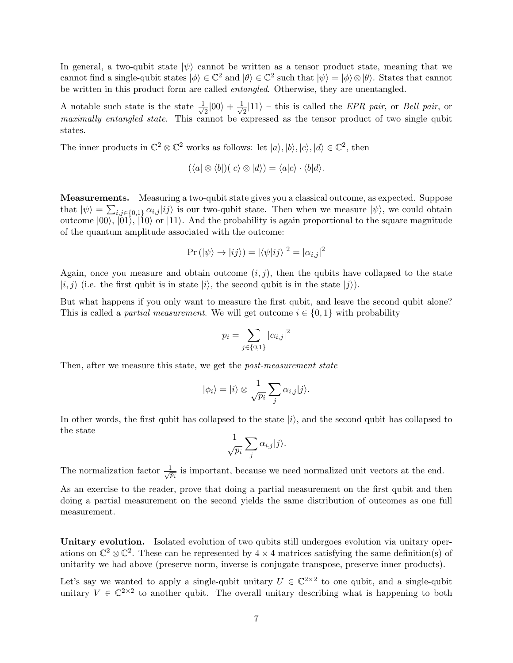In general, a two-qubit state  $|\psi\rangle$  cannot be written as a tensor product state, meaning that we cannot find a single-qubit states  $|\phi\rangle \in \mathbb{C}^2$  and  $|\theta\rangle \in \mathbb{C}^2$  such that  $|\psi\rangle = |\phi\rangle \otimes |\theta\rangle$ . States that cannot be written in this product form are called entangled. Otherwise, they are unentangled.

A notable such state is the state  $\frac{1}{4}$  $\frac{1}{2}|00\rangle + \frac{1}{\sqrt{2}}$  $\frac{1}{2}$ [11} – this is called the *EPR pair*, or *Bell pair*, or maximally entangled state. This cannot be expressed as the tensor product of two single qubit states.

The inner products in  $\mathbb{C}^2 \otimes \mathbb{C}^2$  works as follows: let  $|a\rangle, |b\rangle, |c\rangle, |d\rangle \in \mathbb{C}^2$ , then

$$
(\langle a| \otimes \langle b|)(|c\rangle \otimes |d\rangle) = \langle a|c\rangle \cdot \langle b|d\rangle.
$$

Measurements. Measuring a two-qubit state gives you a classical outcome, as expected. Suppose that  $|\psi\rangle = \sum_{i,j \in \{0,1\}} \alpha_{i,j} |ij\rangle$  is our two-qubit state. Then when we measure  $|\psi\rangle$ , we could obtain outcome  $|00\rangle$ ,  $|01\rangle$ ,  $|10\rangle$  or  $|11\rangle$ . And the probability is again proportional to the square magnitude of the quantum amplitude associated with the outcome:

$$
\Pr\left(\left|\psi\right\rangle \rightarrow \left|ij\right\rangle\right) = \left|\left\langle \psi|ij\right\rangle\right|^2 = \left|\alpha_{i,j}\right|^2
$$

Again, once you measure and obtain outcome  $(i, j)$ , then the qubits have collapsed to the state  $|i, j\rangle$  (i.e. the first qubit is in state  $|i\rangle$ , the second qubit is in the state  $|j\rangle$ ).

But what happens if you only want to measure the first qubit, and leave the second qubit alone? This is called a *partial measurement*. We will get outcome  $i \in \{0, 1\}$  with probability

$$
p_i = \sum_{j \in \{0,1\}} |\alpha_{i,j}|^2
$$

Then, after we measure this state, we get the *post-measurement state* 

$$
|\phi_i\rangle = |i\rangle \otimes \frac{1}{\sqrt{p_i}} \sum_j \alpha_{i,j} |j\rangle.
$$

In other words, the first qubit has collapsed to the state  $|i\rangle$ , and the second qubit has collapsed to the state

$$
\frac{1}{\sqrt{p_i}}\sum_j \alpha_{i,j}|j\rangle.
$$

The normalization factor  $\frac{1}{\sqrt{2}}$  $\frac{1}{p_i}$  is important, because we need normalized unit vectors at the end.

As an exercise to the reader, prove that doing a partial measurement on the first qubit and then doing a partial measurement on the second yields the same distribution of outcomes as one full measurement.

Unitary evolution. Isolated evolution of two qubits still undergoes evolution via unitary operations on  $\mathbb{C}^2 \otimes \mathbb{C}^2$ . These can be represented by  $4 \times 4$  matrices satisfying the same definition(s) of unitarity we had above (preserve norm, inverse is conjugate transpose, preserve inner products).

Let's say we wanted to apply a single-qubit unitary  $U \in \mathbb{C}^{2 \times 2}$  to one qubit, and a single-qubit unitary  $V \in \mathbb{C}^{2 \times 2}$  to another qubit. The overall unitary describing what is happening to both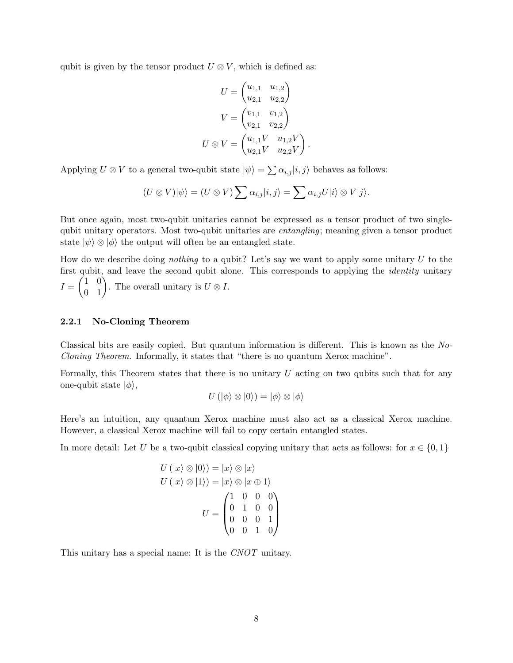qubit is given by the tensor product  $U \otimes V$ , which is defined as:

$$
U = \begin{pmatrix} u_{1,1} & u_{1,2} \\ u_{2,1} & u_{2,2} \end{pmatrix}
$$

$$
V = \begin{pmatrix} v_{1,1} & v_{1,2} \\ v_{2,1} & v_{2,2} \end{pmatrix}
$$

$$
U \otimes V = \begin{pmatrix} u_{1,1}V & u_{1,2}V \\ u_{2,1}V & u_{2,2}V \end{pmatrix}
$$

.

Applying  $U \otimes V$  to a general two-qubit state  $|\psi\rangle = \sum \alpha_{i,j} |i,j\rangle$  behaves as follows:

$$
(U \otimes V)|\psi\rangle = (U \otimes V) \sum \alpha_{i,j} |i,j\rangle = \sum \alpha_{i,j} U|i\rangle \otimes V|j\rangle.
$$

But once again, most two-qubit unitaries cannot be expressed as a tensor product of two singlequbit unitary operators. Most two-qubit unitaries are entangling; meaning given a tensor product state  $|\psi\rangle \otimes |\phi\rangle$  the output will often be an entangled state.

How do we describe doing *nothing* to a qubit? Let's say we want to apply some unitary  $U$  to the first qubit, and leave the second qubit alone. This corresponds to applying the *identity* unitary  $I = \begin{pmatrix} 1 & 0 \\ 0 & 1 \end{pmatrix}$ . The overall unitary is  $U \otimes I$ .

### 2.2.1 No-Cloning Theorem

Classical bits are easily copied. But quantum information is different. This is known as the No-Cloning Theorem. Informally, it states that "there is no quantum Xerox machine".

Formally, this Theorem states that there is no unitary  $U$  acting on two qubits such that for any one-qubit state  $|\phi\rangle$ ,

$$
U(|\phi\rangle \otimes |0\rangle) = |\phi\rangle \otimes |\phi\rangle
$$

Here's an intuition, any quantum Xerox machine must also act as a classical Xerox machine. However, a classical Xerox machine will fail to copy certain entangled states.

In more detail: Let U be a two-qubit classical copying unitary that acts as follows: for  $x \in \{0,1\}$ 

$$
U(|x\rangle \otimes |0\rangle) = |x\rangle \otimes |x\rangle
$$
  
\n
$$
U(|x\rangle \otimes |1\rangle) = |x\rangle \otimes |x \oplus 1\rangle
$$
  
\n
$$
U = \begin{pmatrix} 1 & 0 & 0 & 0 \\ 0 & 1 & 0 & 0 \\ 0 & 0 & 0 & 1 \\ 0 & 0 & 1 & 0 \end{pmatrix}
$$

This unitary has a special name: It is the CNOT unitary.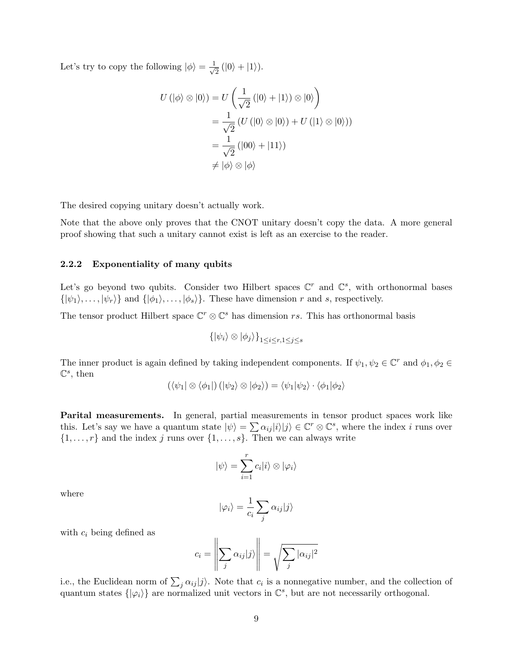Let's try to copy the following  $|\phi\rangle = \frac{1}{\sqrt{2}}$  $\frac{1}{2}$  (|0\nmatheral + |1\nmatheral + |1\matheral + |1\matheral + |1\matheral + |1\matheral + |1\matheral + |1\matheral + |1\matheral + |1\matheral + |1\matheral + |1\matheral + |1\matheral + |1\matheral + |1\matheral

$$
U(|\phi\rangle \otimes |0\rangle) = U\left(\frac{1}{\sqrt{2}}(|0\rangle + |1\rangle) \otimes |0\rangle\right)
$$
  
= 
$$
\frac{1}{\sqrt{2}} (U(|0\rangle \otimes |0\rangle) + U(|1\rangle \otimes |0\rangle))
$$
  
= 
$$
\frac{1}{\sqrt{2}} (|00\rangle + |11\rangle)
$$
  

$$
\neq |\phi\rangle \otimes |\phi\rangle
$$

The desired copying unitary doesn't actually work.

Note that the above only proves that the CNOT unitary doesn't copy the data. A more general proof showing that such a unitary cannot exist is left as an exercise to the reader.

### 2.2.2 Exponentiality of many qubits

Let's go beyond two qubits. Consider two Hilbert spaces  $\mathbb{C}^r$  and  $\mathbb{C}^s$ , with orthonormal bases  $\{|\psi_1\rangle, \ldots, |\psi_r\rangle\}$  and  $\{|\phi_1\rangle, \ldots, |\phi_s\rangle\}$ . These have dimension r and s, respectively.

The tensor product Hilbert space  $\mathbb{C}^r \otimes \mathbb{C}^s$  has dimension rs. This has orthonormal basis

$$
\{|\psi_i\rangle \otimes |\phi_j\rangle\}_{1 \leq i \leq r, 1 \leq j \leq s}
$$

The inner product is again defined by taking independent components. If  $\psi_1, \psi_2 \in \mathbb{C}^r$  and  $\phi_1, \phi_2 \in$  $\mathbb{C}^s$ , then

$$
(\langle \psi_1 | \otimes \langle \phi_1 | \rangle (|\psi_2 \rangle \otimes |\phi_2 \rangle) = \langle \psi_1 | \psi_2 \rangle \cdot \langle \phi_1 | \phi_2 \rangle
$$

Parital measurements. In general, partial measurements in tensor product spaces work like this. Let's say we have a quantum state  $|\psi\rangle = \sum \alpha_{ij} |i\rangle |j\rangle \in \mathbb{C}^r \otimes \mathbb{C}^s$ , where the index i runs over  $\{1, \ldots, r\}$  and the index j runs over  $\{1, \ldots, s\}$ . Then we can always write

$$
|\psi\rangle = \sum_{i=1}^r c_i |i\rangle \otimes |\varphi_i\rangle
$$

where

$$
|\varphi_i\rangle = \frac{1}{c_i} \sum_j \alpha_{ij} |j\rangle
$$

with  $c_i$  being defined as

$$
c_i = \left\| \sum_j \alpha_{ij} |j\rangle \right\| = \sqrt{\sum_j |\alpha_{ij}|^2}
$$

i.e., the Euclidean norm of  $\sum_j \alpha_{ij} |j\rangle$ . Note that  $c_i$  is a nonnegative number, and the collection of quantum states  $\{|\varphi_i\rangle\}$  are normalized unit vectors in  $\mathbb{C}^s$ , but are not necessarily orthogonal.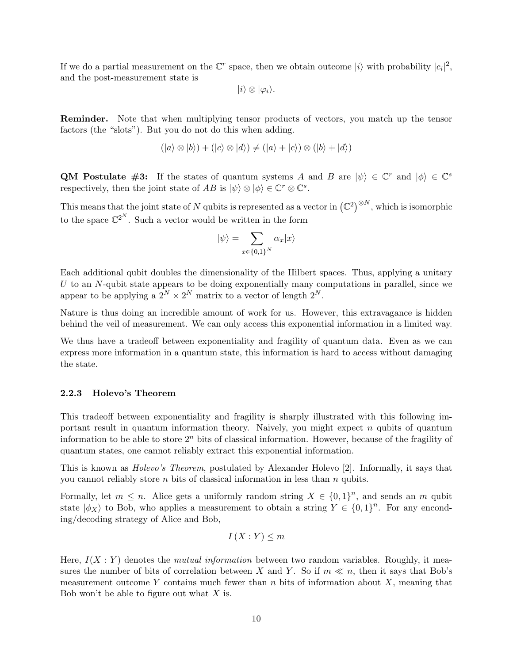If we do a partial measurement on the  $\mathbb{C}^r$  space, then we obtain outcome  $|i\rangle$  with probability  $|c_i|^2$ , and the post-measurement state is

$$
|i\rangle\otimes|\varphi_i\rangle.
$$

Reminder. Note that when multiplying tensor products of vectors, you match up the tensor factors (the "slots"). But you do not do this when adding.

$$
(|a\rangle \otimes |b\rangle) + (|c\rangle \otimes |d\rangle) \neq (|a\rangle + |c\rangle) \otimes (|b\rangle + |d\rangle)
$$

**QM Postulate #3:** If the states of quantum systems A and B are  $|\psi\rangle \in \mathbb{C}^r$  and  $|\phi\rangle \in \mathbb{C}^s$ respectively, then the joint state of AB is  $|\psi\rangle \otimes |\phi\rangle \in \mathbb{C}^r \otimes \mathbb{C}^s$ .

This means that the joint state of N qubits is represented as a vector in  $(\mathbb{C}^2)^{\otimes N}$ , which is isomorphic to the space  $\mathbb{C}^{2^N}$ . Such a vector would be written in the form

$$
|\psi\rangle = \sum_{x \in \{0,1\}^N} \alpha_x |x\rangle
$$

Each additional qubit doubles the dimensionality of the Hilbert spaces. Thus, applying a unitary  $U$  to an N-qubit state appears to be doing exponentially many computations in parallel, since we appear to be applying a  $2^N \times 2^N$  matrix to a vector of length  $2^N$ .

Nature is thus doing an incredible amount of work for us. However, this extravagance is hidden behind the veil of measurement. We can only access this exponential information in a limited way.

We thus have a tradeoff between exponentiality and fragility of quantum data. Even as we can express more information in a quantum state, this information is hard to access without damaging the state.

#### 2.2.3 Holevo's Theorem

This tradeoff between exponentiality and fragility is sharply illustrated with this following important result in quantum information theory. Naively, you might expect  $n$  qubits of quantum information to be able to store  $2<sup>n</sup>$  bits of classical information. However, because of the fragility of quantum states, one cannot reliably extract this exponential information.

This is known as Holevo's Theorem, postulated by Alexander Holevo [2]. Informally, it says that you cannot reliably store  $n$  bits of classical information in less than  $n$  qubits.

Formally, let  $m \leq n$ . Alice gets a uniformly random string  $X \in \{0,1\}^n$ , and sends an m qubit state  $|\phi_X\rangle$  to Bob, who applies a measurement to obtain a string  $Y \in \{0,1\}^n$ . For any enconding/decoding strategy of Alice and Bob,

$$
I(X:Y) \le m
$$

Here,  $I(X:Y)$  denotes the *mutual information* between two random variables. Roughly, it measures the number of bits of correlation between X and Y. So if  $m \ll n$ , then it says that Bob's measurement outcome Y contains much fewer than  $n$  bits of information about  $X$ , meaning that Bob won't be able to figure out what  $X$  is.